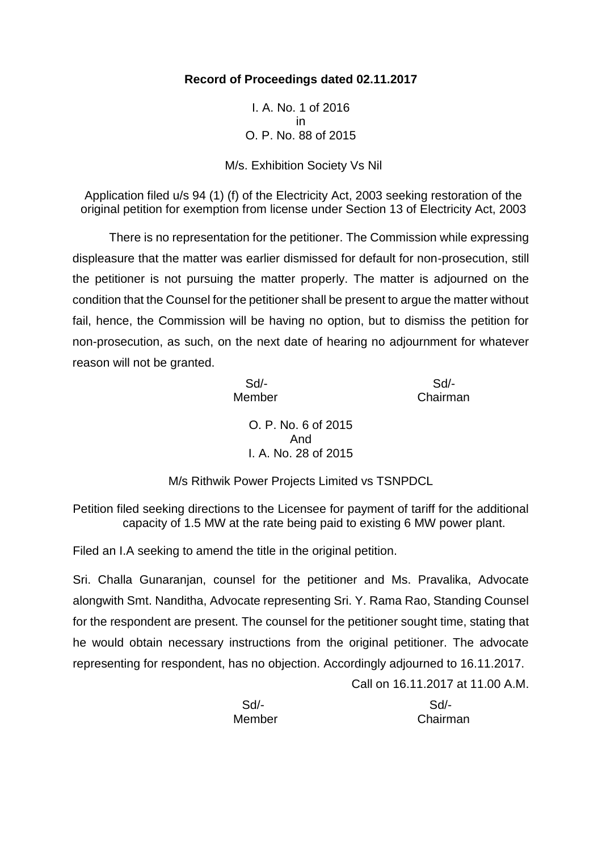# **Record of Proceedings dated 02.11.2017**

I. A. No. 1 of 2016 in O. P. No. 88 of 2015

M/s. Exhibition Society Vs Nil

Application filed u/s 94 (1) (f) of the Electricity Act, 2003 seeking restoration of the original petition for exemption from license under Section 13 of Electricity Act, 2003

There is no representation for the petitioner. The Commission while expressing displeasure that the matter was earlier dismissed for default for non-prosecution, still the petitioner is not pursuing the matter properly. The matter is adjourned on the condition that the Counsel for the petitioner shall be present to argue the matter without fail, hence, the Commission will be having no option, but to dismiss the petition for non-prosecution, as such, on the next date of hearing no adjournment for whatever reason will not be granted.

 Sd/- Sd/- Member Chairman

Call on 16.11.2017 at 11.00 A.M.

O. P. No. 6 of 2015 And I. A. No. 28 of 2015

M/s Rithwik Power Projects Limited vs TSNPDCL

Petition filed seeking directions to the Licensee for payment of tariff for the additional capacity of 1.5 MW at the rate being paid to existing 6 MW power plant.

Filed an I.A seeking to amend the title in the original petition.

Sri. Challa Gunaranjan, counsel for the petitioner and Ms. Pravalika, Advocate alongwith Smt. Nanditha, Advocate representing Sri. Y. Rama Rao, Standing Counsel for the respondent are present. The counsel for the petitioner sought time, stating that he would obtain necessary instructions from the original petitioner. The advocate representing for respondent, has no objection. Accordingly adjourned to 16.11.2017.

 Sd/- Sd/- Member Chairman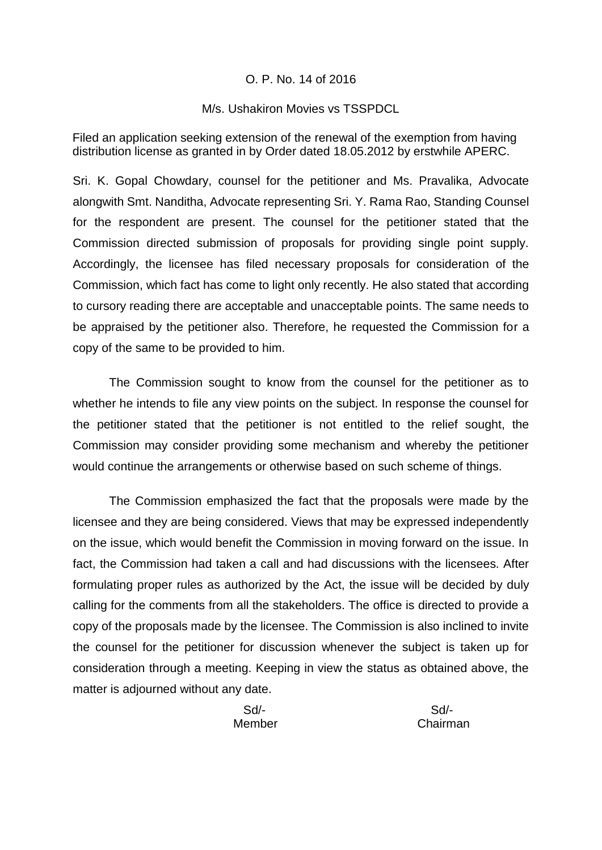#### O. P. No. 14 of 2016

#### M/s. Ushakiron Movies vs TSSPDCL

Filed an application seeking extension of the renewal of the exemption from having distribution license as granted in by Order dated 18.05.2012 by erstwhile APERC.

Sri. K. Gopal Chowdary, counsel for the petitioner and Ms. Pravalika, Advocate alongwith Smt. Nanditha, Advocate representing Sri. Y. Rama Rao, Standing Counsel for the respondent are present. The counsel for the petitioner stated that the Commission directed submission of proposals for providing single point supply. Accordingly, the licensee has filed necessary proposals for consideration of the Commission, which fact has come to light only recently. He also stated that according to cursory reading there are acceptable and unacceptable points. The same needs to be appraised by the petitioner also. Therefore, he requested the Commission for a copy of the same to be provided to him.

The Commission sought to know from the counsel for the petitioner as to whether he intends to file any view points on the subject. In response the counsel for the petitioner stated that the petitioner is not entitled to the relief sought, the Commission may consider providing some mechanism and whereby the petitioner would continue the arrangements or otherwise based on such scheme of things.

The Commission emphasized the fact that the proposals were made by the licensee and they are being considered. Views that may be expressed independently on the issue, which would benefit the Commission in moving forward on the issue. In fact, the Commission had taken a call and had discussions with the licensees. After formulating proper rules as authorized by the Act, the issue will be decided by duly calling for the comments from all the stakeholders. The office is directed to provide a copy of the proposals made by the licensee. The Commission is also inclined to invite the counsel for the petitioner for discussion whenever the subject is taken up for consideration through a meeting. Keeping in view the status as obtained above, the matter is adjourned without any date.

Sd/- Sd/-

Member Chairman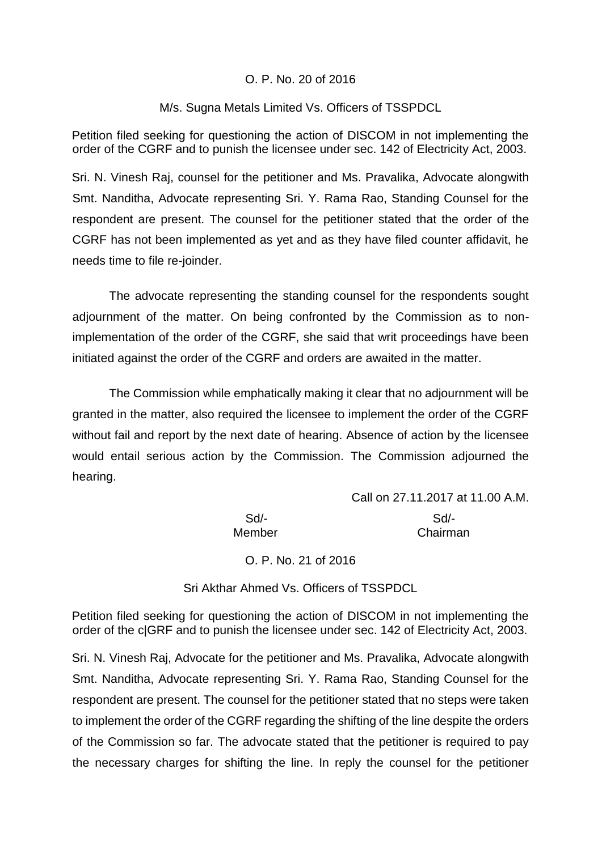## O. P. No. 20 of 2016

#### M/s. Sugna Metals Limited Vs. Officers of TSSPDCL

Petition filed seeking for questioning the action of DISCOM in not implementing the order of the CGRF and to punish the licensee under sec. 142 of Electricity Act, 2003.

Sri. N. Vinesh Raj, counsel for the petitioner and Ms. Pravalika, Advocate alongwith Smt. Nanditha, Advocate representing Sri. Y. Rama Rao, Standing Counsel for the respondent are present. The counsel for the petitioner stated that the order of the CGRF has not been implemented as yet and as they have filed counter affidavit, he needs time to file re-joinder.

The advocate representing the standing counsel for the respondents sought adjournment of the matter. On being confronted by the Commission as to nonimplementation of the order of the CGRF, she said that writ proceedings have been initiated against the order of the CGRF and orders are awaited in the matter.

The Commission while emphatically making it clear that no adjournment will be granted in the matter, also required the licensee to implement the order of the CGRF without fail and report by the next date of hearing. Absence of action by the licensee would entail serious action by the Commission. The Commission adjourned the hearing.

|        | Call on 27.11.2017 at 11.00 A.M. |
|--------|----------------------------------|
| Sd     | Sd                               |
| Member | Chairman                         |

O. P. No. 21 of 2016

Sri Akthar Ahmed Vs. Officers of TSSPDCL

Petition filed seeking for questioning the action of DISCOM in not implementing the order of the c|GRF and to punish the licensee under sec. 142 of Electricity Act, 2003.

Sri. N. Vinesh Raj, Advocate for the petitioner and Ms. Pravalika, Advocate alongwith Smt. Nanditha, Advocate representing Sri. Y. Rama Rao, Standing Counsel for the respondent are present. The counsel for the petitioner stated that no steps were taken to implement the order of the CGRF regarding the shifting of the line despite the orders of the Commission so far. The advocate stated that the petitioner is required to pay the necessary charges for shifting the line. In reply the counsel for the petitioner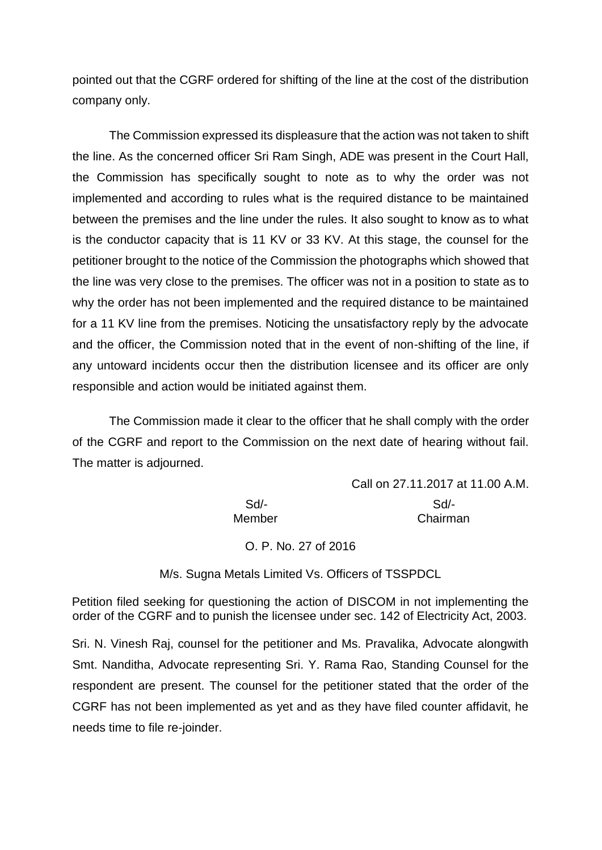pointed out that the CGRF ordered for shifting of the line at the cost of the distribution company only.

The Commission expressed its displeasure that the action was not taken to shift the line. As the concerned officer Sri Ram Singh, ADE was present in the Court Hall, the Commission has specifically sought to note as to why the order was not implemented and according to rules what is the required distance to be maintained between the premises and the line under the rules. It also sought to know as to what is the conductor capacity that is 11 KV or 33 KV. At this stage, the counsel for the petitioner brought to the notice of the Commission the photographs which showed that the line was very close to the premises. The officer was not in a position to state as to why the order has not been implemented and the required distance to be maintained for a 11 KV line from the premises. Noticing the unsatisfactory reply by the advocate and the officer, the Commission noted that in the event of non-shifting of the line, if any untoward incidents occur then the distribution licensee and its officer are only responsible and action would be initiated against them.

The Commission made it clear to the officer that he shall comply with the order of the CGRF and report to the Commission on the next date of hearing without fail. The matter is adjourned.

Call on 27.11.2017 at 11.00 A.M. Sd/- Sd/- Member Chairman

O. P. No. 27 of 2016

M/s. Sugna Metals Limited Vs. Officers of TSSPDCL

Petition filed seeking for questioning the action of DISCOM in not implementing the order of the CGRF and to punish the licensee under sec. 142 of Electricity Act, 2003.

Sri. N. Vinesh Raj, counsel for the petitioner and Ms. Pravalika, Advocate alongwith Smt. Nanditha, Advocate representing Sri. Y. Rama Rao, Standing Counsel for the respondent are present. The counsel for the petitioner stated that the order of the CGRF has not been implemented as yet and as they have filed counter affidavit, he needs time to file re-joinder.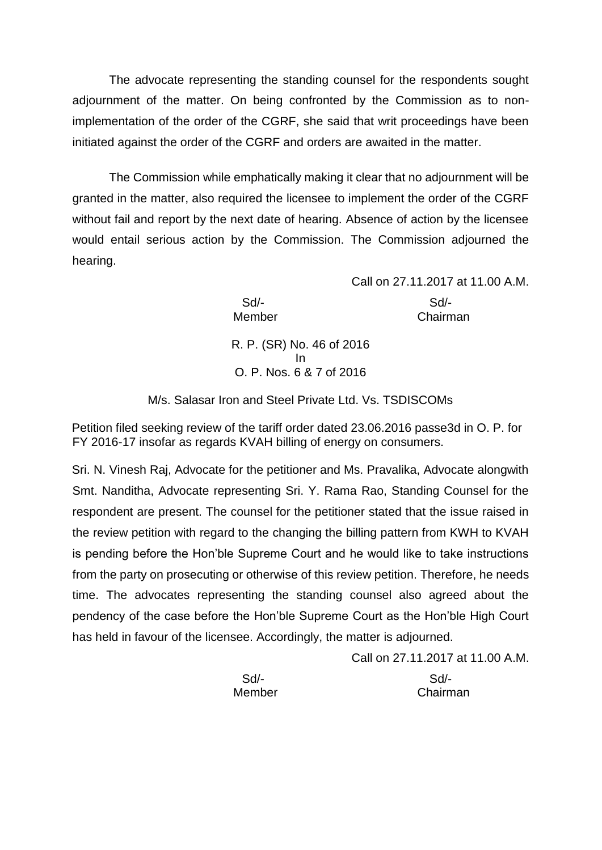The advocate representing the standing counsel for the respondents sought adjournment of the matter. On being confronted by the Commission as to nonimplementation of the order of the CGRF, she said that writ proceedings have been initiated against the order of the CGRF and orders are awaited in the matter.

The Commission while emphatically making it clear that no adjournment will be granted in the matter, also required the licensee to implement the order of the CGRF without fail and report by the next date of hearing. Absence of action by the licensee would entail serious action by the Commission. The Commission adjourned the hearing.

 Sd/- Sd/- Member Chairman

Call on 27.11.2017 at 11.00 A.M.

R. P. (SR) No. 46 of 2016 In O. P. Nos. 6 & 7 of 2016

M/s. Salasar Iron and Steel Private Ltd. Vs. TSDISCOMs

Petition filed seeking review of the tariff order dated 23.06.2016 passe3d in O. P. for FY 2016-17 insofar as regards KVAH billing of energy on consumers.

Sri. N. Vinesh Raj, Advocate for the petitioner and Ms. Pravalika, Advocate alongwith Smt. Nanditha, Advocate representing Sri. Y. Rama Rao, Standing Counsel for the respondent are present. The counsel for the petitioner stated that the issue raised in the review petition with regard to the changing the billing pattern from KWH to KVAH is pending before the Hon'ble Supreme Court and he would like to take instructions from the party on prosecuting or otherwise of this review petition. Therefore, he needs time. The advocates representing the standing counsel also agreed about the pendency of the case before the Hon'ble Supreme Court as the Hon'ble High Court has held in favour of the licensee. Accordingly, the matter is adjourned.

|        | Call on 27.11.2017 at 11.00 A.M. |
|--------|----------------------------------|
| $Sd$ - | Sd                               |
| Member | Chairman                         |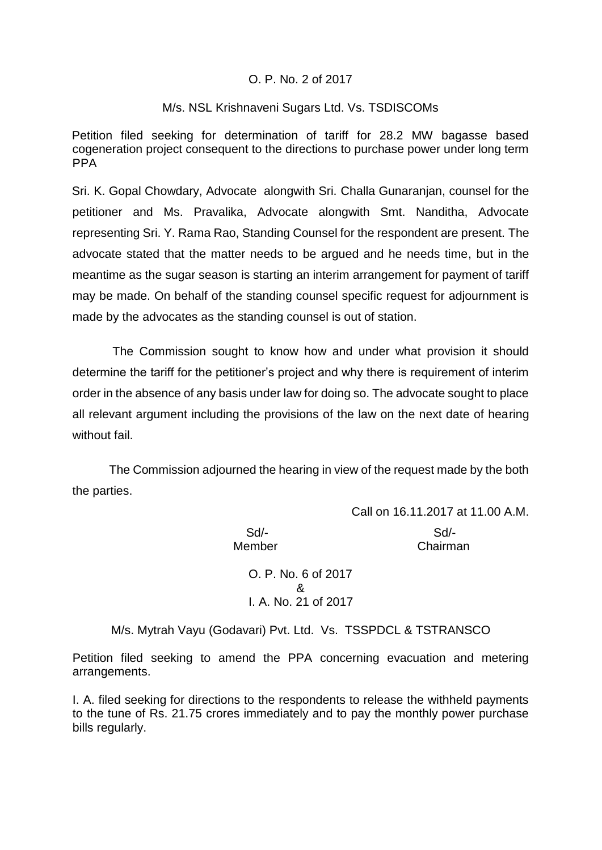## O. P. No. 2 of 2017

### M/s. NSL Krishnaveni Sugars Ltd. Vs. TSDISCOMs

Petition filed seeking for determination of tariff for 28.2 MW bagasse based cogeneration project consequent to the directions to purchase power under long term PPA

Sri. K. Gopal Chowdary, Advocate alongwith Sri. Challa Gunaranjan, counsel for the petitioner and Ms. Pravalika, Advocate alongwith Smt. Nanditha, Advocate representing Sri. Y. Rama Rao, Standing Counsel for the respondent are present. The advocate stated that the matter needs to be argued and he needs time, but in the meantime as the sugar season is starting an interim arrangement for payment of tariff may be made. On behalf of the standing counsel specific request for adjournment is made by the advocates as the standing counsel is out of station.

The Commission sought to know how and under what provision it should determine the tariff for the petitioner's project and why there is requirement of interim order in the absence of any basis under law for doing so. The advocate sought to place all relevant argument including the provisions of the law on the next date of hearing without fail

The Commission adjourned the hearing in view of the request made by the both the parties.

Member Chairman

Call on 16.11.2017 at 11.00 A.M. Sd/- Sd/-

> O. P. No. 6 of 2017 & I. A. No. 21 of 2017

M/s. Mytrah Vayu (Godavari) Pvt. Ltd. Vs. TSSPDCL & TSTRANSCO

Petition filed seeking to amend the PPA concerning evacuation and metering arrangements.

I. A. filed seeking for directions to the respondents to release the withheld payments to the tune of Rs. 21.75 crores immediately and to pay the monthly power purchase bills regularly.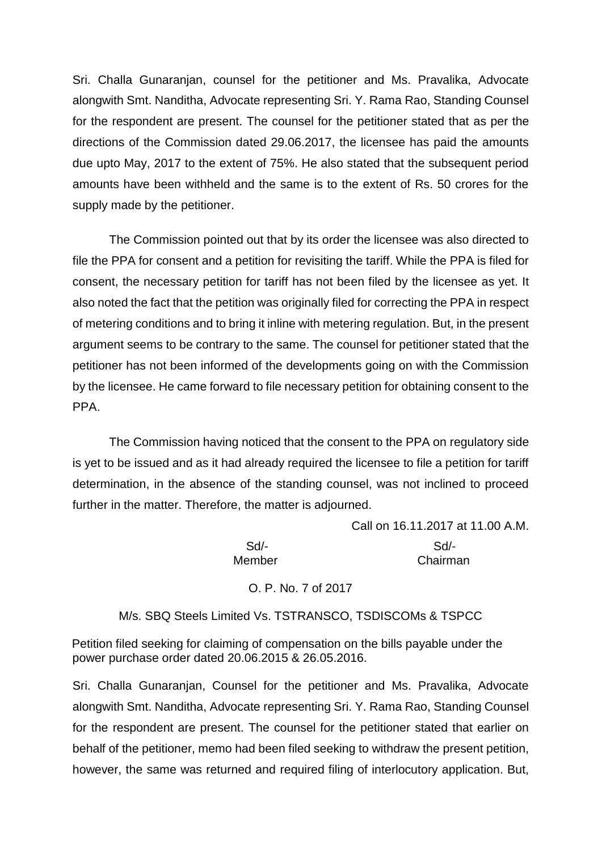Sri. Challa Gunaranjan, counsel for the petitioner and Ms. Pravalika, Advocate alongwith Smt. Nanditha, Advocate representing Sri. Y. Rama Rao, Standing Counsel for the respondent are present. The counsel for the petitioner stated that as per the directions of the Commission dated 29.06.2017, the licensee has paid the amounts due upto May, 2017 to the extent of 75%. He also stated that the subsequent period amounts have been withheld and the same is to the extent of Rs. 50 crores for the supply made by the petitioner.

The Commission pointed out that by its order the licensee was also directed to file the PPA for consent and a petition for revisiting the tariff. While the PPA is filed for consent, the necessary petition for tariff has not been filed by the licensee as yet. It also noted the fact that the petition was originally filed for correcting the PPA in respect of metering conditions and to bring it inline with metering regulation. But, in the present argument seems to be contrary to the same. The counsel for petitioner stated that the petitioner has not been informed of the developments going on with the Commission by the licensee. He came forward to file necessary petition for obtaining consent to the PPA.

The Commission having noticed that the consent to the PPA on regulatory side is yet to be issued and as it had already required the licensee to file a petition for tariff determination, in the absence of the standing counsel, was not inclined to proceed further in the matter. Therefore, the matter is adjourned.

|        | Call on 16.11.2017 at 11.00 A.M. |
|--------|----------------------------------|
| Sd/-   | Sd                               |
| Member | Chairman                         |

O. P. No. 7 of 2017

## M/s. SBQ Steels Limited Vs. TSTRANSCO, TSDISCOMs & TSPCC

Petition filed seeking for claiming of compensation on the bills payable under the power purchase order dated 20.06.2015 & 26.05.2016.

Sri. Challa Gunaranjan, Counsel for the petitioner and Ms. Pravalika, Advocate alongwith Smt. Nanditha, Advocate representing Sri. Y. Rama Rao, Standing Counsel for the respondent are present. The counsel for the petitioner stated that earlier on behalf of the petitioner, memo had been filed seeking to withdraw the present petition, however, the same was returned and required filing of interlocutory application. But,